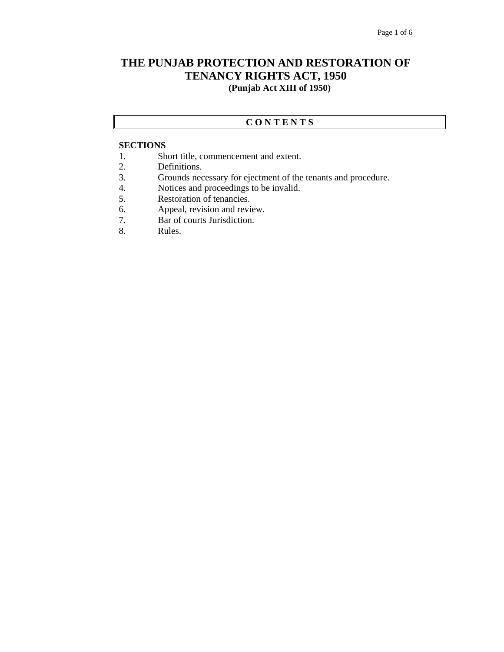## **THE PUNJAB PROTECTION AND RESTORATION OF TENANCY RIGHTS ACT, 1950 (Punjab Act XIII of 1950)**

## **C O N T E N T S**

## **SECTIONS**

- 1. Short title, commencement and extent.
- 2. Definitions.
- 3. Grounds necessary for ejectment of the tenants and procedure.
- 4. Notices and proceedings to be invalid.
- 5. Restoration of tenancies.
- 6. Appeal, revision and review.
- 7. Bar of courts Jurisdiction.
- 8. Rules.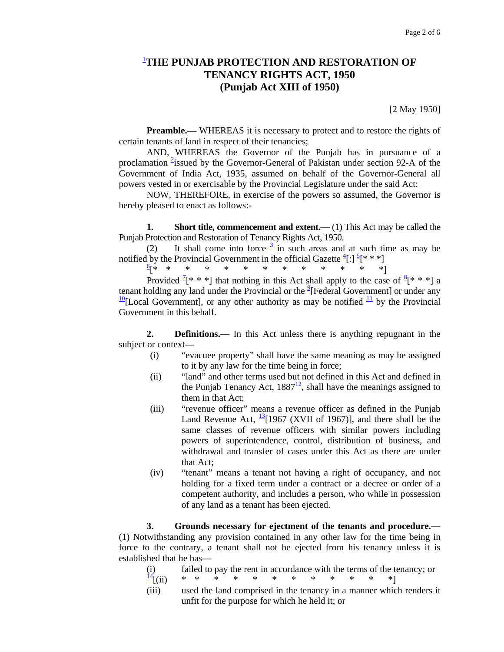## 1 **THE PUNJAB PROTECTION AND RESTORATION OF TENANCY RIGHTS ACT, 1950 (Punjab Act XIII of 1950)**

[2 May 1950]

**Preamble.**— WHEREAS it is necessary to protect and to restore the rights of certain tenants of land in respect of their tenancies;

 AND, WHEREAS the Governor of the Punjab has in pursuance of a proclamation <sup>2</sup>issued by the Governor-General of Pakistan under section 92-A of the Government of India Act, 1935, assumed on behalf of the Governor-General all powers vested in or exercisable by the Provincial Legislature under the said Act:

 NOW, THEREFORE, in exercise of the powers so assumed, the Governor is hereby pleased to enact as follows:-

**1.** Short title, commencement and extent.—(1) This Act may be called the Punjab Protection and Restoration of Tenancy Rights Act, 1950.

(2) It shall come into force  $\frac{3}{2}$  in such areas and at such time as may be notified by the Provincial Government in the official Gazette  $\frac{4}{3}$ :  $\frac{5}{7}$ [\* \* \*]

 $\frac{6}{5}$  \*

[\* \* \* \* \* \* \* \* \* \* \* \* \*] Provided  $[1^* * *]$  that nothing in this Act shall apply to the case of  $[1^* * *]$  a tenant holding any land under the Provincial or the  $^{9}$ [Federal Government] or under any  $\frac{10}{2}$ [Local Government], or any other authority as may be notified  $\frac{11}{2}$  by the Provincial Government in this behalf.

 **2. Definitions.—** In this Act unless there is anything repugnant in the subject or context—

- (i) "evacuee property" shall have the same meaning as may be assigned to it by any law for the time being in force;
- (ii) "land" and other terms used but not defined in this Act and defined in the Punjab Tenancy Act,  $1887<sup>12</sup>$ , shall have the meanings assigned to them in that Act;
- (iii) "revenue officer" means a revenue officer as defined in the Punjab Land Revenue Act,  $\frac{13}{1967}$  (XVII of 1967), and there shall be the same classes of revenue officers with similar powers including powers of superintendence, control, distribution of business, and withdrawal and transfer of cases under this Act as there are under that Act;
- (iv) "tenant" means a tenant not having a right of occupancy, and not holding for a fixed term under a contract or a decree or order of a competent authority, and includes a person, who while in possession of any land as a tenant has been ejected.

 **3. Grounds necessary for ejectment of the tenants and procedure.—** (1) Notwithstanding any provision contained in any other law for the time being in force to the contrary, a tenant shall not be ejected from his tenancy unless it is established that he has—

| (i)                                                |  |  |  |  |  | failed to pay the rent in accordance with the terms of the tenancy; or    |
|----------------------------------------------------|--|--|--|--|--|---------------------------------------------------------------------------|
| $\frac{14}{11}$ (ii) * * * * * * * * * * * * * * * |  |  |  |  |  |                                                                           |
|                                                    |  |  |  |  |  | (iii) used the land comprised in the tenancy in a manner which renders it |

(iii) used the land comprised in the tenancy in a manner which renders it unfit for the purpose for which he held it; or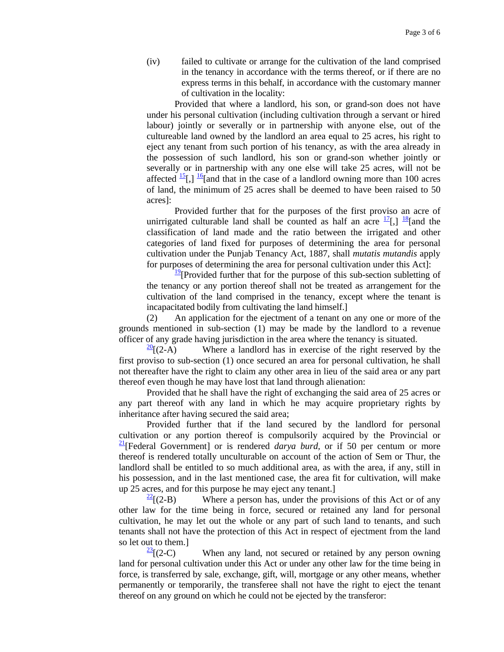(iv) failed to cultivate or arrange for the cultivation of the land comprised in the tenancy in accordance with the terms thereof, or if there are no express terms in this behalf, in accordance with the customary manner of cultivation in the locality:

 Provided that where a landlord, his son, or grand-son does not have under his personal cultivation (including cultivation through a servant or hired labour) jointly or severally or in partnership with anyone else, out of the cultureable land owned by the landlord an area equal to 25 acres, his right to eject any tenant from such portion of his tenancy, as with the area already in the possession of such landlord, his son or grand-son whether jointly or severally or in partnership with any one else will take 25 acres, will not be affected  $\frac{15}{6}$ ,  $\frac{16}{6}$  and that in the case of a landlord owning more than 100 acres of land, the minimum of 25 acres shall be deemed to have been raised to 50 acres]:

 Provided further that for the purposes of the first proviso an acre of unirrigated culturable land shall be counted as half an acre  $\frac{17}{6}$ ,  $\frac{18}{8}$ [and the classification of land made and the ratio between the irrigated and other categories of land fixed for purposes of determining the area for personal cultivation under the Punjab Tenancy Act, 1887, shall *mutatis mutandis* apply for purposes of determining the area for personal cultivation under this Act]:

 $\frac{19}{2}$ [Provided further that for the purpose of this sub-section subletting of the tenancy or any portion thereof shall not be treated as arrangement for the cultivation of the land comprised in the tenancy, except where the tenant is incapacitated bodily from cultivating the land himself.]

 (2) An application for the ejectment of a tenant on any one or more of the grounds mentioned in sub-section (1) may be made by the landlord to a revenue officer of any grade having jurisdiction in the area where the tenancy is situated.

 $\frac{20}{20}$ [(2-A) Where a landlord has in exercise of the right reserved by the first proviso to sub-section (1) once secured an area for personal cultivation, he shall not thereafter have the right to claim any other area in lieu of the said area or any part thereof even though he may have lost that land through alienation:

 Provided that he shall have the right of exchanging the said area of 25 acres or any part thereof with any land in which he may acquire proprietary rights by inheritance after having secured the said area;

 Provided further that if the land secured by the landlord for personal cultivation or any portion thereof is compulsorily acquired by the Provincial or 21[Federal Government] or is rendered *darya burd,* or if 50 per centum or more thereof is rendered totally unculturable on account of the action of Sem or Thur, the landlord shall be entitled to so much additional area, as with the area, if any, still in his possession, and in the last mentioned case, the area fit for cultivation, will make up 25 acres, and for this purpose he may eject any tenant.]

 $\frac{22}{2}$ [(2-B) Where a person has, under the provisions of this Act or of any other law for the time being in force, secured or retained any land for personal cultivation, he may let out the whole or any part of such land to tenants, and such tenants shall not have the protection of this Act in respect of ejectment from the land so let out to them.]

 $\frac{23}{2}$ [(2-C) When any land, not secured or retained by any person owning land for personal cultivation under this Act or under any other law for the time being in force, is transferred by sale, exchange, gift, will, mortgage or any other means, whether permanently or temporarily, the transferee shall not have the right to eject the tenant thereof on any ground on which he could not be ejected by the transferor: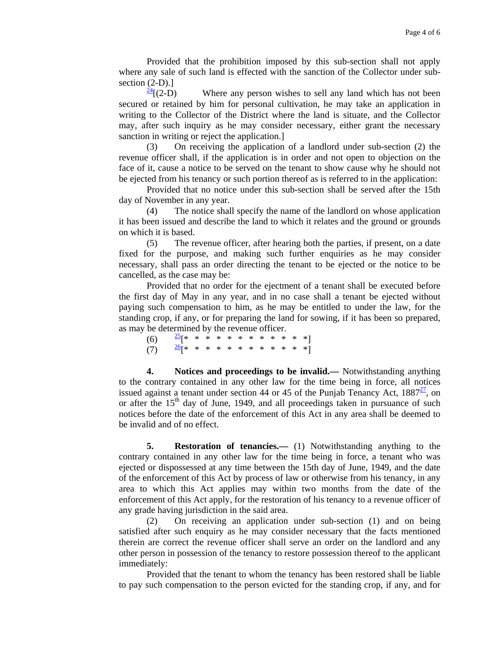Provided that the prohibition imposed by this sub-section shall not apply where any sale of such land is effected with the sanction of the Collector under subsection  $(2-D)$ .]

 $\frac{24}{2}$ [(2-D) Where any person wishes to sell any land which has not been secured or retained by him for personal cultivation, he may take an application in writing to the Collector of the District where the land is situate, and the Collector may, after such inquiry as he may consider necessary, either grant the necessary sanction in writing or reject the application.]

 (3) On receiving the application of a landlord under sub-section (2) the revenue officer shall, if the application is in order and not open to objection on the face of it, cause a notice to be served on the tenant to show cause why he should not be ejected from his tenancy or such portion thereof as is referred to in the application:

 Provided that no notice under this sub-section shall be served after the 15th day of November in any year.

 (4) The notice shall specify the name of the landlord on whose application it has been issued and describe the land to which it relates and the ground or grounds on which it is based.

 (5) The revenue officer, after hearing both the parties, if present, on a date fixed for the purpose, and making such further enquiries as he may consider necessary, shall pass an order directing the tenant to be ejected or the notice to be cancelled, as the case may be:

 Provided that no order for the ejectment of a tenant shall be executed before the first day of May in any year, and in no case shall a tenant be ejected without paying such compensation to him, as he may be entitled to under the law, for the standing crop, if any, or for preparing the land for sowing, if it has been so prepared, as may be determined by the revenue officer.

| (6) $\frac{25}{5}$ * * * * * * * * * * * * * |  |  |  |  |  |  |
|----------------------------------------------|--|--|--|--|--|--|
| (7) $\frac{26}{1}$ * * * * * * * * * * * * ] |  |  |  |  |  |  |

 **4. Notices and proceedings to be invalid.—** Notwithstanding anything to the contrary contained in any other law for the time being in force, all notices issued against a tenant under section 44 or 45 of the Punjab Tenancy Act,  $1887\frac{21}{10}$ , on or after the  $15<sup>th</sup>$  day of June, 1949, and all proceedings taken in pursuance of such notices before the date of the enforcement of this Act in any area shall be deemed to be invalid and of no effect.

**5.** Restoration of tenancies.— (1) Notwithstanding anything to the contrary contained in any other law for the time being in force, a tenant who was ejected or dispossessed at any time between the 15th day of June, 1949, and the date of the enforcement of this Act by process of law or otherwise from his tenancy, in any area to which this Act applies may within two months from the date of the enforcement of this Act apply, for the restoration of his tenancy to a revenue officer of any grade having jurisdiction in the said area.

 (2) On receiving an application under sub-section (1) and on being satisfied after such enquiry as he may consider necessary that the facts mentioned therein are correct the revenue officer shall serve an order on the landlord and any other person in possession of the tenancy to restore possession thereof to the applicant immediately:

 Provided that the tenant to whom the tenancy has been restored shall be liable to pay such compensation to the person evicted for the standing crop, if any, and for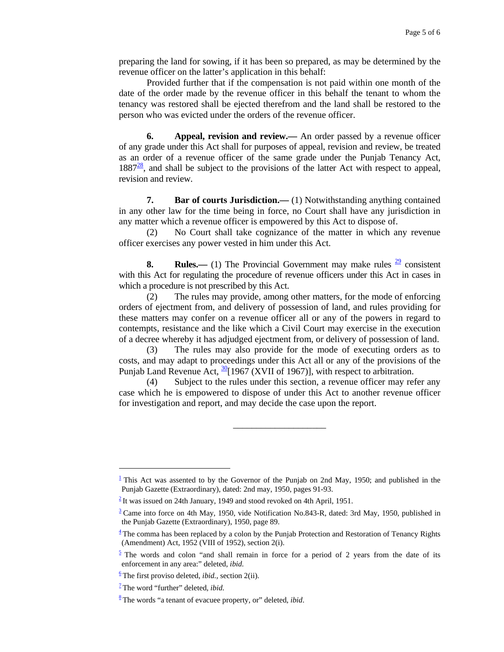preparing the land for sowing, if it has been so prepared, as may be determined by the revenue officer on the latter's application in this behalf:

 Provided further that if the compensation is not paid within one month of the date of the order made by the revenue officer in this behalf the tenant to whom the tenancy was restored shall be ejected therefrom and the land shall be restored to the person who was evicted under the orders of the revenue officer.

**6.** Appeal, revision and review.— An order passed by a revenue officer of any grade under this Act shall for purposes of appeal, revision and review, be treated as an order of a revenue officer of the same grade under the Punjab Tenancy Act,  $1887<sup>28</sup>$ , and shall be subject to the provisions of the latter Act with respect to appeal, revision and review.

**7. Bar of courts Jurisdiction.**—(1) Notwithstanding anything contained in any other law for the time being in force, no Court shall have any jurisdiction in any matter which a revenue officer is empowered by this Act to dispose of.

 (2) No Court shall take cognizance of the matter in which any revenue officer exercises any power vested in him under this Act.

**8.** Rules.—— (1) The Provincial Government may make rules  $\frac{29}{2}$  consistent with this Act for regulating the procedure of revenue officers under this Act in cases in which a procedure is not prescribed by this Act.

 (2) The rules may provide, among other matters, for the mode of enforcing orders of ejectment from, and delivery of possession of land, and rules providing for these matters may confer on a revenue officer all or any of the powers in regard to contempts, resistance and the like which a Civil Court may exercise in the execution of a decree whereby it has adjudged ejectment from, or delivery of possession of land.

 (3) The rules may also provide for the mode of executing orders as to costs, and may adapt to proceedings under this Act all or any of the provisions of the Punjab Land Revenue Act,  $\frac{30}{1967}$  (XVII of 1967)], with respect to arbitration.

 (4) Subject to the rules under this section, a revenue officer may refer any case which he is empowered to dispose of under this Act to another revenue officer for investigation and report, and may decide the case upon the report.

\_\_\_\_\_\_\_\_\_\_\_\_\_\_\_\_\_\_\_\_

 $\overline{\phantom{a}}$ 

<sup>&</sup>lt;sup>1</sup> This Act was assented to by the Governor of the Punjab on 2nd May, 1950; and published in the Punjab Gazette (Extraordinary), dated: 2nd may, 1950, pages 91-93.

 $2$ It was issued on 24th January, 1949 and stood revoked on 4th April, 1951.

 $3$  Came into force on 4th May, 1950, vide Notification No.843-R, dated: 3rd May, 1950, published in the Punjab Gazette (Extraordinary), 1950, page 89.

 $\frac{4}{3}$  The comma has been replaced by a colon by the Punjab Protection and Restoration of Tenancy Rights (Amendment) Act, 1952 (VIII of 1952), section 2(i).

 $\frac{5}{2}$  The words and colon "and shall remain in force for a period of 2 years from the date of its enforcement in any area:" deleted, *ibid.*

 $\frac{6}{2}$ The first proviso deleted, *ibid.*, section 2(ii).

<sup>&</sup>lt;sup>1</sup>The word "further" deleted, *ibid.* 

<sup>&</sup>lt;sup>8</sup>The words "a tenant of evacuee property, or" deleted, *ibid*.